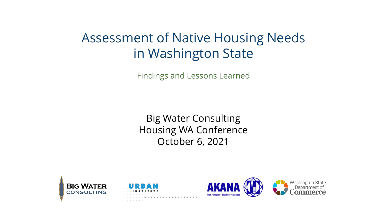#### Assessment of Native Housing Needs in Washington State

Findings and Lessons Learned

Big Water Consulting Housing WA Conference October 6, 2021





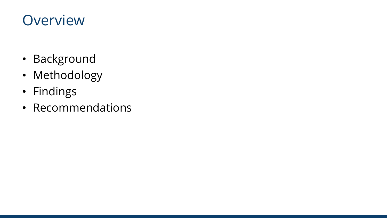#### **Overview**

- Background
- Methodology
- Findings
- Recommendations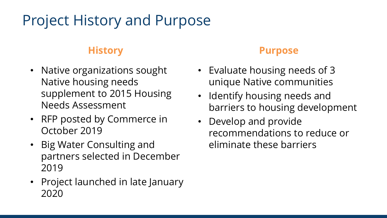# Project History and Purpose

#### **History**

- Native organizations sought Native housing needs supplement to 2015 Housing Needs Assessment
- RFP posted by Commerce in October 2019
- Big Water Consulting and partners selected in December 2019
- Project launched in late January 2020

#### **Purpose**

- Evaluate housing needs of 3 unique Native communities
- Identify housing needs and barriers to housing development
- Develop and provide recommendations to reduce or eliminate these barriers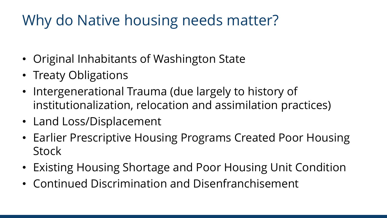#### Why do Native housing needs matter?

- Original Inhabitants of Washington State
- Treaty Obligations
- Intergenerational Trauma (due largely to history of institutionalization, relocation and assimilation practices)
- Land Loss/Displacement
- Earlier Prescriptive Housing Programs Created Poor Housing **Stock**
- Existing Housing Shortage and Poor Housing Unit Condition
- Continued Discrimination and Disenfranchisement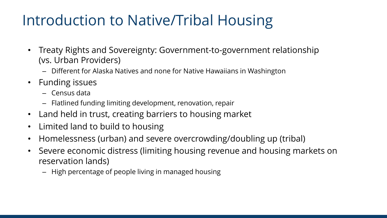#### Introduction to Native/Tribal Housing

- Treaty Rights and Sovereignty: Government-to-government relationship (vs. Urban Providers)
	- Different for Alaska Natives and none for Native Hawaiians in Washington
- Funding issues
	- Census data
	- Flatlined funding limiting development, renovation, repair
- Land held in trust, creating barriers to housing market
- Limited land to build to housing
- Homelessness (urban) and severe overcrowding/doubling up (tribal)
- Severe economic distress (limiting housing revenue and housing markets on reservation lands)
	- High percentage of people living in managed housing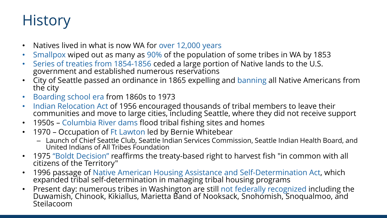#### **History**

- Natives lived in what is now WA for over 12,000 years
- Smallpox wiped out as many as 90% of the population of some tribes in WA by 1853
- Series of treaties from 1854-1856 ceded a large portion of Native lands to the U.S. government and established numerous reservations
- City of Seattle passed an ordinance in 1865 expelling and banning all Native Americans from the city
- Boarding school era from 1860s to 1973
- Indian Relocation Act of 1956 encouraged thousands of tribal members to leave their<br>communities and move to large cities, including Seattle, where they did not receive support
- 1950s Columbia River dams flood tribal fishing sites and homes
- 1970 Occupation of Ft Lawton led by Bernie Whitebear
	- Launch of Chief Seattle Club, Seattle Indian Services Commission, Seattle Indian Health Board, and United Indians of All Tribes Foundation
- 1975 "Boldt Decision" reaffirms the treaty-based right to harvest fish "in common with all citizens of the Territory"
- 1996 passage of Native American Housing Assistance and Self-Determination Act, which expanded tribal self-determination in managing tribal housing programs
- Present day: numerous tribes in Washington are still not federally recognized including the Duwamish, Chinook, Kikiallus, Marietta Band of Nooksack, Snohomish, Snoqualmoo, and Steilacoom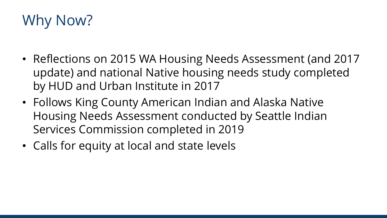# Why Now?

- Reflections on 2015 WA Housing Needs Assessment (and 2017 update) and national Native housing needs study completed by HUD and Urban Institute in 2017
- Follows King County American Indian and Alaska Native Housing Needs Assessment conducted by Seattle Indian Services Commission completed in 2019
- Calls for equity at local and state levels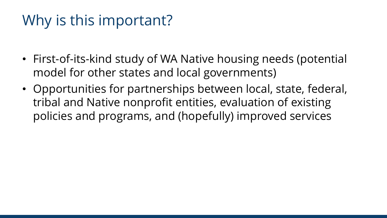#### Why is this important?

- First-of-its-kind study of WA Native housing needs (potential model for other states and local governments)
- Opportunities for partnerships between local, state, federal, tribal and Native nonprofit entities, evaluation of existing policies and programs, and (hopefully) improved services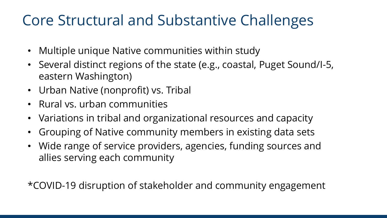#### Core Structural and Substantive Challenges

- Multiple unique Native communities within study
- Several distinct regions of the state (e.g., coastal, Puget Sound/I-5, eastern Washington)
- Urban Native (nonprofit) vs. Tribal
- Rural vs. urban communities
- Variations in tribal and organizational resources and capacity
- Grouping of Native community members in existing data sets
- Wide range of service providers, agencies, funding sources and allies serving each community

\*COVID-19 disruption of stakeholder and community engagement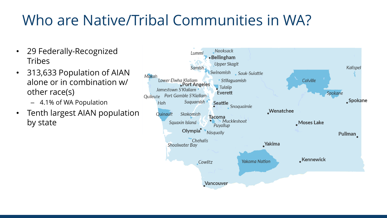# Who are Native/Tribal Communities in WA?

- 29 Federally-Recognized **Tribes**
- 313,633 Population of AIAN alone or in combination w/ other race(s)
	- 4.1% of WA Population
- Tenth largest AIAN population by state

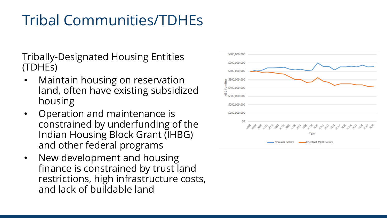# Tribal Communities/TDHEs

Tribally-Designated Housing Entities (TDHEs)

- Maintain housing on reservation land, often have existing subsidized housing
- Operation and maintenance is constrained by underfunding of the Indian Housing Block Grant (IHBG) and other federal programs
- New development and housing finance is constrained by trust land restrictions, high infrastructure costs, and lack of buildable land

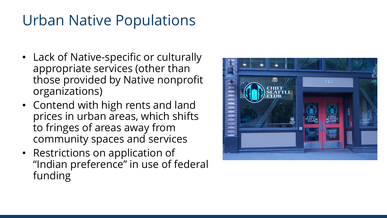#### Urban Native Populations

- Lack of Native-specific or culturally appropriate services (other than those provided by Native nonprofit organizations)
- Contend with high rents and land prices in urban areas, which shifts to fringes of areas away from community spaces and services
- Restrictions on application of "Indian preference" in use of federal funding

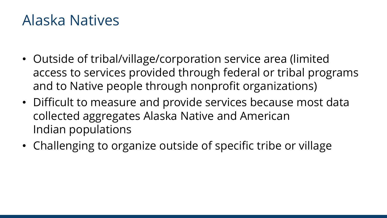#### Alaska Natives

- Outside of tribal/village/corporation service area (limited access to services provided through federal or tribal programs and to Native people through nonprofit organizations)
- Difficult to measure and provide services because most data collected aggregates Alaska Native and American Indian populations
- Challenging to organize outside of specific tribe or village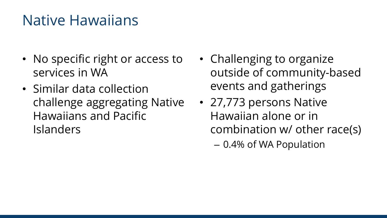#### Native Hawaiians

- No specific right or access to services in WA
- Similar data collection challenge aggregating Native Hawaiians and Pacific Islanders
- Challenging to organize outside of community-based events and gatherings
- 27,773 persons Native Hawaiian alone or in combination w/ other race(s) – 0.4% of WA Population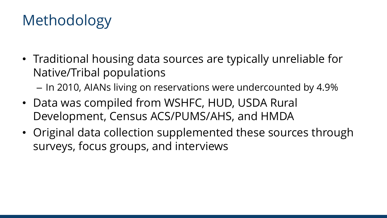# Methodology

- Traditional housing data sources are typically unreliable for Native/Tribal populations
	- In 2010, AIANs living on reservations were undercounted by 4.9%
- Data was compiled from WSHFC, HUD, USDA Rural Development, Census ACS/PUMS/AHS, and HMDA
- Original data collection supplemented these sources through surveys, focus groups, and interviews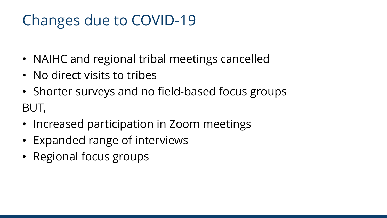#### Changes due to COVID-19

- NAIHC and regional tribal meetings cancelled
- No direct visits to tribes
- Shorter surveys and no field-based focus groups BUT,
- Increased participation in Zoom meetings
- Expanded range of interviews
- Regional focus groups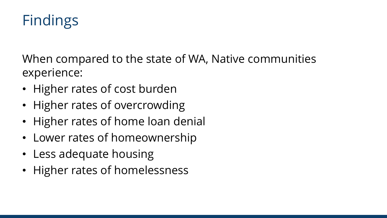# Findings

When compared to the state of WA, Native communities experience:

- Higher rates of cost burden
- Higher rates of overcrowding
- Higher rates of home loan denial
- Lower rates of homeownership
- Less adequate housing
- Higher rates of homelessness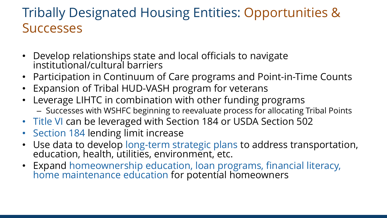#### Tribally Designated Housing Entities: Opportunities & **Successes**

- Develop relationships state and local officials to navigate institutional/cultural barriers
- Participation in Continuum of Care programs and Point-in-Time Counts
- Expansion of Tribal HUD-VASH program for veterans
- Leverage LIHTC in combination with other funding programs – Successes with WSHFC beginning to reevaluate process for allocating Tribal Points
- Title VI can be leveraged with Section 184 or USDA Section 502
- Section 184 lending limit increase
- Use data to develop long-term strategic plans to address transportation,<br>education, health, utilities, environment, etc.
- Expand homeownership education, loan programs, financial literacy, home maintenance education for potential homeowners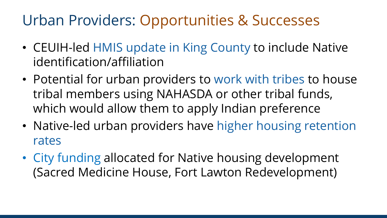#### Urban Providers: Opportunities & Successes

- CEUIH-led HMIS update in King County to include Native identification/affiliation
- Potential for urban providers to work with tribes to house tribal members using NAHASDA or other tribal funds, which would allow them to apply Indian preference
- Native-led urban providers have higher housing retention rates
- City funding allocated for Native housing development (Sacred Medicine House, Fort Lawton Redevelopment)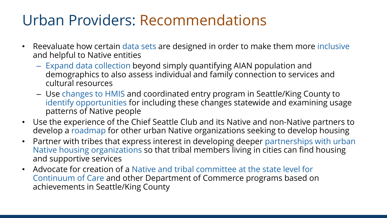#### Urban Providers: Recommendations

- Reevaluate how certain data sets are designed in order to make them more inclusive and helpful to Native entities
	- Expand data collection beyond simply quantifying AIAN population and demographics to also assess individual and family connection to services and cultural resources
	- Use changes to HMIS and coordinated entry program in Seattle/King County to identify opportunities for including these changes statewide and examining usage patterns of Native people
- Use the experience of the Chief Seattle Club and its Native and non-Native partners to develop a roadmap for other urban Native organizations seeking to develop housing
- Partner with tribes that express interest in developing deeper partnerships with urban Native housing organizations so that tribal members living in cities can find housing and supportive services
- Advocate for creation of a Native and tribal committee at the state level for Continuum of Care and other Department of Commerce programs based on achievements in Seattle/King County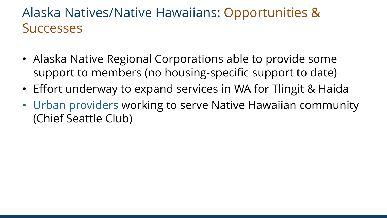#### Alaska Natives/Native Hawaiians: Opportunities & **Successes**

- Alaska Native Regional Corporations able to provide some support to members (no housing-specific support to date)
- Effort underway to expand services in WA for Tlingit & Haida
- Urban providers working to serve Native Hawaiian community (Chief Seattle Club)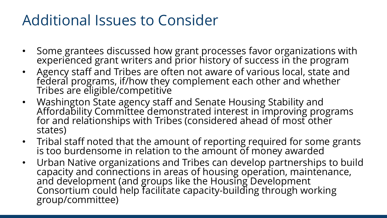#### Additional Issues to Consider

- Some grantees discussed how grant processes favor organizations with experienced grant writers and prior history of success in the program
- Agency staff and Tribes are often not aware of various local, state and federal programs, if/how they complement each other and whether Tribes are eligible/competitive
- Washington State agency staff and Senate Housing Stability and Affordability Committee demonstrated interest in improving programs<br>for and relationships with Tribes (considered ahead of most other states)
- Tribal staff noted that the amount of reporting required for some grants is too burdensome in relation to the amount of money awarded
- Urban Native organizations and Tribes can develop partnerships to build capacity and connections in areas of housing operation, maintenance, and development (and groups like the Housing Development Consortium could help facilitate capacity-building through working<br>group/committee)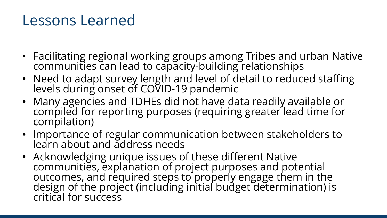#### Lessons Learned

- Facilitating regional working groups among Tribes and urban Native communities can lead to capacity-building relationships
- Need to adapt survey length and level of detail to reduced staffing levels during onset of COVID-19 pandemic
- Many agencies and TDHEs did not have data readily available or compiled for reporting purposes (requiring greater lead time for compilation)
- Importance of regular communication between stakeholders to learn about and address needs
- Acknowledging unique issues of these different Native communities, explanation of project purposes and potential outcomes, and required steps to properly engage them in the design of the project (including initial budget determination) is critical for success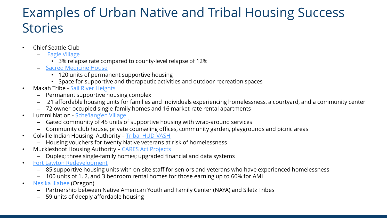#### Examples of Urban Native and Tribal Housing Success **Stories**

- Chief Seattle Club
	- [Eagle Village](https://www.chiefseattleclub.org/eagle-village)
		- 3% relapse rate compared to county-level relapse of 12%
	- [Sacred Medicine House](https://www.lotusdevpartners.com/portfolio-items/sacred-medicine-house-seattle-wa/)
		- 120 units of permanent supportive housing
		- Space for supportive and therapeutic activities and outdoor recreation spaces
- Makah Tribe [Sail River Heights](https://www.housingfinance.com/developments/makah-tribe-builds-permanent-supportive-housing_o)
	- Permanent supportive housing complex
	- 21 affordable housing units for families and individuals experiencing homelessness, a courtyard, and a community center
	- 72 owner-occupied single-family homes and 16 market-rate rental apartments
- Lummi Nation [Sche'lang'en](https://www.hud.gov/sites/dfiles/PIH/documents/LummiNationHA_BestPractice_2018.pdf) Village
	- Gated community of 45 units of supportive housing with wrap-around services
	- Community club house, private counseling offices, community garden, playgrounds and picnic areas
- Colville Indian Housing Authority [Tribal HUD-VASH](https://www.hud.gov/sites/dfiles/PIH/documents/BP_2017-11_GaryFrancisColvilleTHVASH%20.pdf)
	- Housing vouchers for twenty Native veterans at risk of homelessness
- Muckleshoot Housing Authority [CARES Act Projects](https://www.hud.gov/sites/dfiles/PIH/documents/BEST%20PRACTICES_FINAL%20CARES%20Act%20Best%20Practices%20Presentation%20ONAP_%20May%2013%2C%202021.pdf)
	- Duplex; three single-family homes; upgraded financial and data systems
- [Fort Lawton Redevelopment](https://www.unitedindians.org/affordable-housing-at-fort-lawton-bernies-dream-a-reality/)
	- 85 supportive housing units with on-site staff for seniors and veterans who have experienced homelessness
	- 100 units of 1, 2, and 3 bedroom rental homes for those earning up to 60% for AMI
- [Nesika Illahee](https://www.carletonhart.com/nesika-illahee) (Oregon)
	- Partnership between Native American Youth and Family Center (NAYA) and Siletz Tribes
	- 59 units of deeply affordable housing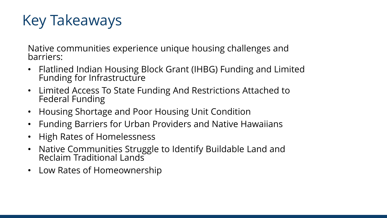# Key Takeaways

Native communities experience unique housing challenges and barriers:

- Flatlined Indian Housing Block Grant (IHBG) Funding and Limited Funding for Infrastructure
- Limited Access To State Funding And Restrictions Attached to Federal Funding
- Housing Shortage and Poor Housing Unit Condition
- Funding Barriers for Urban Providers and Native Hawaiians
- High Rates of Homelessness
- Native Communities Struggle to Identify Buildable Land and Reclaim Traditional Lands
- Low Rates of Homeownership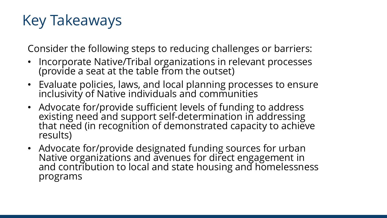# Key Takeaways

Consider the following steps to reducing challenges or barriers:

- Incorporate Native/Tribal organizations in relevant processes (provide a seat at the table from the outset)
- Evaluate policies, laws, and local planning processes to ensure inclusivity of Native individuals and communities
- Advocate for/provide sufficient levels of funding to address<br>existing need and support self-determination in addressing that need (in recognition of demonstrated capacity to achieve results)
- Advocate for/provide designated funding sources for urban Native organizations and avenues for direct engagement in and contribution to local and state housing and homelessness programs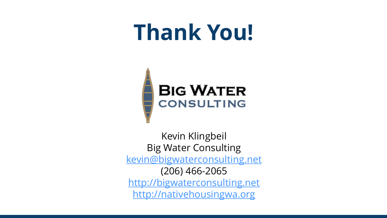# **Thank You!**



Kevin Klingbeil Big Water Consulting [kevin@bigwaterconsulting.net](mailto:kevin@bigwaterconsulting.net) (206) 466-2065 [http://bigwaterconsulting.net](http://bigwaterconsulting.net/) [http://nativehousingwa.org](http://nativehousingwa.org/)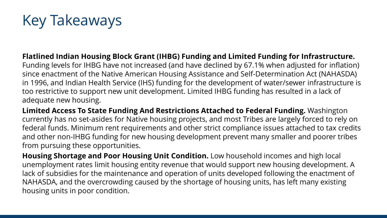### Key Takeaways

**Flatlined Indian Housing Block Grant (IHBG) Funding and Limited Funding for Infrastructure.** Funding levels for IHBG have not increased (and have declined by 67.1% when adjusted for inflation) since enactment of the Native American Housing Assistance and Self-Determination Act (NAHASDA) in 1996, and Indian Health Service (IHS) funding for the development of water/sewer infrastructure is too restrictive to support new unit development. Limited IHBG funding has resulted in a lack of adequate new housing.

**Limited Access To State Funding And Restrictions Attached to Federal Funding.** Washington currently has no set-asides for Native housing projects, and most Tribes are largely forced to rely on federal funds. Minimum rent requirements and other strict compliance issues attached to tax credits and other non-IHBG funding for new housing development prevent many smaller and poorer tribes from pursuing these opportunities.

**Housing Shortage and Poor Housing Unit Condition.** Low household incomes and high local unemployment rates limit housing entity revenue that would support new housing development. A lack of subsidies for the maintenance and operation of units developed following the enactment of NAHASDA, and the overcrowding caused by the shortage of housing units, has left many existing housing units in poor condition.